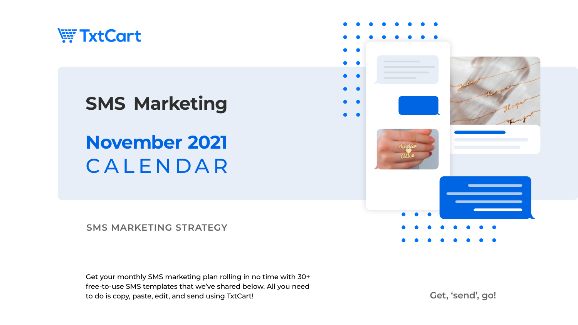

# **November 2021** CALENDAR **SMS Marketing**

#### **SMS MARKETING STRATEGY**

Get your monthly SMS marketing plan rolling in no time with 30+ free-to-use SMS templates that we've shared below. All you need to do is copy, paste, edit, and send using TxtCart! **Get, 'send', go!** 

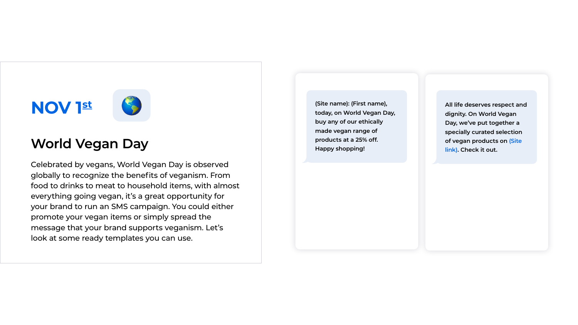



### **World Vegan Day**

Celebrated by vegans, World Vegan Day is observed globally to recognize the benefits of veganism. From food to drinks to meat to household items, with almost everything going vegan, it's a great opportunity for your brand to run an SMS campaign. You could either promote your vegan items or simply spread the message that your brand supports veganism. Let's look at some ready templates you can use.

**(Site name): (First name), today, on World Vegan Day, buy any of our ethically made vegan range of products at a 25% off. Happy shopping!**

**All life deserves respect and dignity. On World Vegan Day, we've put together a specially curated selection of vegan products on (Site link). Check it out.**

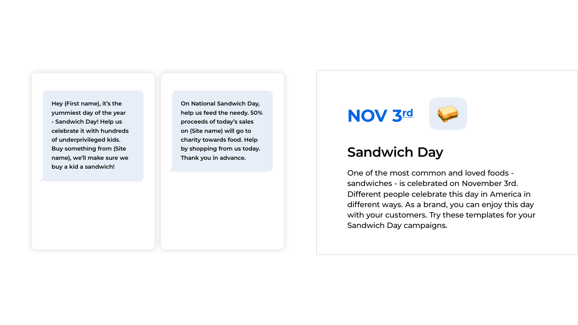

### **Sandwich Day**

One of the most common and loved foods sandwiches - is celebrated on November 3rd. Different people celebrate this day in America in different ways. As a brand, you can enjoy this day with your customers. Try these templates for your Sandwich Day campaigns.

**Hey (First name), it's the yummiest day of the year - Sandwich Day! Help us celebrate it with hundreds of underprivileged kids. Buy something from (Site name), we'll make sure we buy a kid a sandwich!**

**On National Sandwich Day, help us feed the needy. 50% proceeds of today's sales on (Site name) will go to charity towards food. Help by shopping from us today. Thank you in advance.**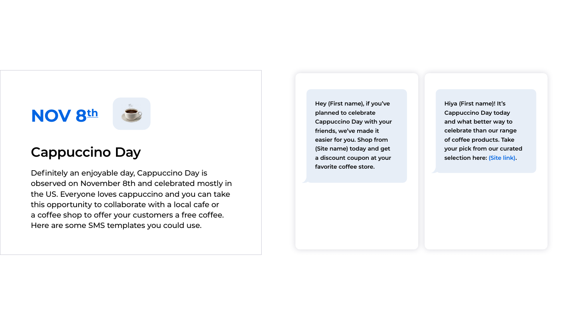



### **Cappuccino Day**

Definitely an enjoyable day, Cappuccino Day is observed on November 8th and celebrated mostly in the US. Everyone loves cappuccino and you can take this opportunity to collaborate with a local cafe or a coffee shop to offer your customers a free coffee. Here are some SMS templates you could use.

**Hey (First name), if you've planned to celebrate Cappuccino Day with your friends, we've made it easier for you. Shop from (Site name) today and get a discount coupon at your favorite coffee store.**

**Hiya (First name)! It's Cappuccino Day today and what better way to celebrate than our range of coffee products. Take your pick from our curated selection here: (Site link) .**

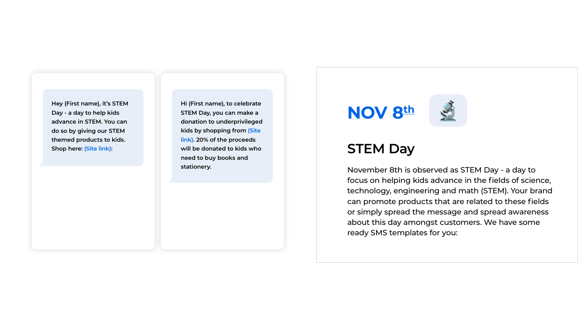



### **STEM Day**

November 8th is observed as STEM Day - a day to focus on helping kids advance in the fields of science, technology, engineering and math (STEM). Your brand can promote products that are related to these fields or simply spread the message and spread awareness about this day amongst customers. We have some ready SMS templates for you:

**Hey (First name), it's STEM Day - a day to help kids advance in STEM. You can do so by giving our STEM themed products to kids. Shop here: (Site link):** 

**Hi (First name), to celebrate STEM Day, you can make a donation to underprivileged kids by shopping from (Site link). 20% of the proceeds will be donated to kids who need to buy books and stationery.**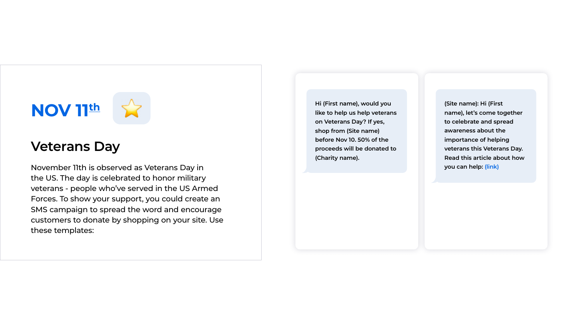

### **Veterans Day**

November 11th is observed as Veterans Day in the US. The day is celebrated to honor military veterans - people who've served in the US Armed Forces. To show your support, you could create an SMS campaign to spread the word and encourage customers to donate by shopping on your site. Use these templates:

**Hi (First name), would you like to help us help veterans on Veterans Day? If yes, shop from (Site name) before Nov 10. 50% of the proceeds will be donated to (Charity name).**

**(Site name): Hi (First name), let's come together to celebrate and spread awareness about the importance of helping veterans this Veterans Day. Read this article about how you can help: (link)**

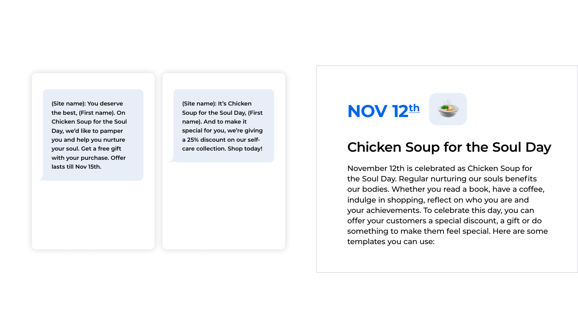

### **Chicken Soup for the Soul Day**

November 12th is celebrated as Chicken Soup for the Soul Day. Regular nurturing our souls benefits our bodies. Whether you read a book, have a coffee, indulge in shopping, reflect on who you are and your achievements. To celebrate this day, you can offer your customers a special discount, a gift or do something to make them feel special. Here are some templates you can use:



**(Site name): You deserve the best, (First name). On Chicken Soup for the Soul Day, we'd like to pamper you and help you nurture your soul. Get a free gift with your purchase. Offer lasts till Nov 15th.**

**(Site name): It's Chicken Soup for the Soul Day, (First name). And to make it special for you, we're giving a 25% discount on our selfcare collection. Shop today!**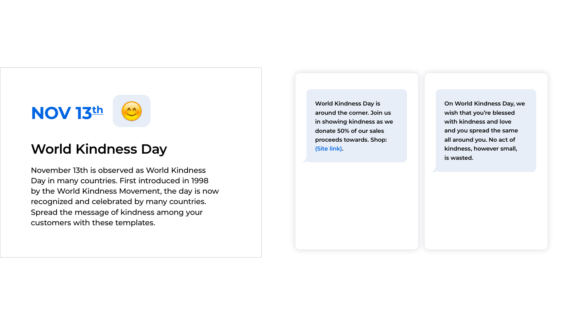

### **World Kindness Day**

November 13th is observed as World Kindness Day in many countries. First introduced in 1998 by the World Kindness Movement, the day is now recognized and celebrated by many countries. Spread the message of kindness among your customers with these templates.

**World Kindness Day is around the corner. Join us in showing kindness as we donate 50% of our sales proceeds towards. Shop: (Site link) .**

**On World Kindness Day, we wish that you're blessed with kindness and love and you spread the same all around you. No act of kindness, however small, is wasted.**

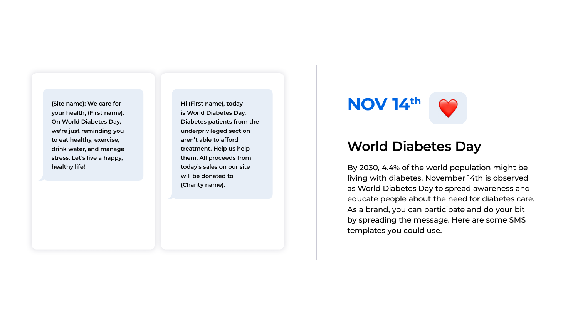

### **World Diabetes Day**

By 2030, 4.4% of the world population might be living with diabetes. November 14th is observed as World Diabetes Day to spread awareness and educate people about the need for diabetes care. As a brand, you can participate and do your bit by spreading the message. Here are some SMS templates you could use.

**(Site name): We care for your health, (First name). On World Diabetes Day, we're just reminding you to eat healthy, exercise, drink water, and manage stress. Let's live a happy, healthy life!**

**Hi (First name), today is World Diabetes Day. Diabetes patients from the underprivileged section aren't able to afford treatment. Help us help them. All proceeds from today's sales on our site will be donated to (Charity name).**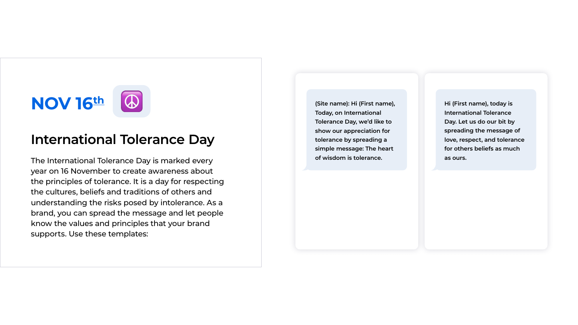# **NOV 16th**

### **International Tolerance Day**

The International Tolerance Day is marked every year on 16 November to create awareness about the principles of tolerance. It is a day for respecting the cultures, beliefs and traditions of others and understanding the risks posed by intolerance. As a brand, you can spread the message and let people know the values and principles that your brand supports. Use these templates:

**(Site name): Hi (First name), Today, on International Tolerance Day, we'd like to show our appreciation for tolerance by spreading a simple message: The heart of wisdom is tolerance.**

**Hi (First name), today is International Tolerance Day. Let us do our bit by spreading the message of love, respect, and tolerance for others beliefs as much as ours.**

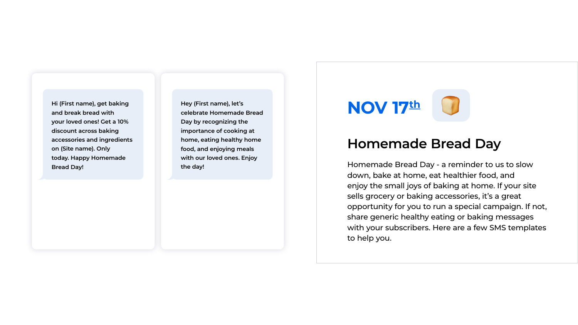



### **Homemade Bread Day**

Homemade Bread Day - a reminder to us to slow down, bake at home, eat healthier food, and enjoy the small joys of baking at home. If your site sells grocery or baking accessories, it's a great opportunity for you to run a special campaign. If not, share generic healthy eating or baking messages with your subscribers. Here are a few SMS templates to help you.

**Hi (First name), get baking and break bread with your loved ones! Get a 10% discount across baking accessories and ingredients on (Site name). Only today. Happy Homemade Bread Day!**

**Hey (First name), let's celebrate Homemade Bread Day by recognizing the importance of cooking at home, eating healthy home food, and enjoying meals with our loved ones. Enjoy the day!**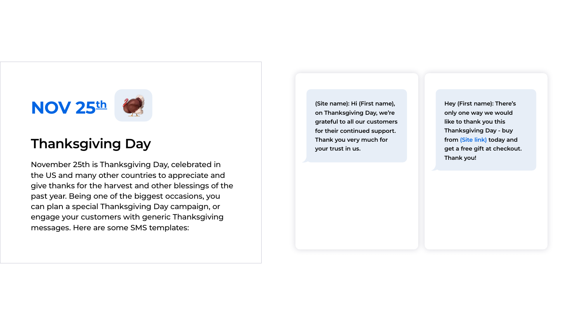

### **Thanksgiving Day**

November 25th is Thanksgiving Day, celebrated in the US and many other countries to appreciate and give thanks for the harvest and other blessings of the past year. Being one of the biggest occasions, you can plan a special Thanksgiving Day campaign, or engage your customers with generic Thanksgiving messages. Here are some SMS templates:

**(Site name): Hi (First name), on Thanksgiving Day, we're grateful to all our customers for their continued support. Thank you very much for your trust in us.**

**Hey (First name): There's only one way we would like to thank you this Thanksgiving Day - buy from (Site link) today and get a free gift at checkout. Thank you!**

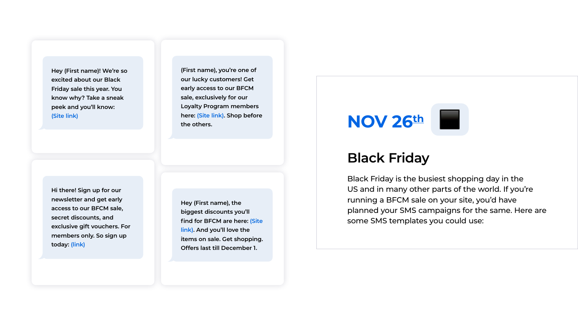

### **Black Friday**

Black Friday is the busiest shopping day in the US and in many other parts of the world. If you're running a BFCM sale on your site, you'd have planned your SMS campaigns for the same. Here are some SMS templates you could use:



**Hey (First name), the biggest discounts you'll find for BFCM are here: (Site link). And you'll love the items on sale. Get shopping. Offers last till December 1.**

**Hey (First name)! We're so excited about our Black Friday sale this year. You know why? Take a sneak peek and you'll know: (Site link)**

**(First name), you're one of our lucky customers! Get early access to our BFCM sale, exclusively for our Loyalty Program members here: (Site link). Shop before the others.**

**Hi there! Sign up for our newsletter and get early access to our BFCM sale, secret discounts, and exclusive gift vouchers. For members only. So sign up today: (link)**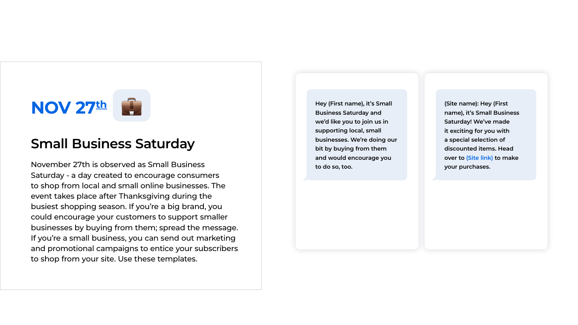

### **Small Business Saturday**

November 27th is observed as Small Business Saturday - a day created to encourage consumers to shop from local and small online businesses. The event takes place after Thanksgiving during the busiest shopping season. If you're a big brand, you could encourage your customers to support smaller businesses by buying from them; spread the message. If you're a small business, you can send out marketing and promotional campaigns to entice your subscribers to shop from your site. Use these templates.

**(Site name): Hey (First name), it's Small Business Saturday! We've made it exciting for you with a special selection of discounted items. Head over to (Site link) to make your purchases.**



**Hey (First name), it's Small Business Saturday and we'd like you to join us in supporting local, small businesses. We're doing our bit by buying from them and would encourage you to do so, too.**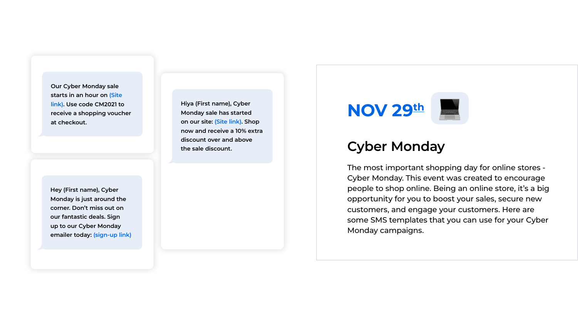

### **Cyber Monday**

The most important shopping day for online stores - Cyber Monday. This event was created to encourage people to shop online. Being an online store, it's a big opportunity for you to boost your sales, secure new customers, and engage your customers. Here are some SMS templates that you can use for your Cyber Monday campaigns.



**Hiya (First name), Cyber Monday sale has started on our site: (Site link). Shop now and receive a 10% extra discount over and above the sale discount.**

**Hey (First name), Cyber Monday is just around the corner. Don't miss out on our fantastic deals. Sign up to our Cyber Monday emailer today: (sign-up link)**

**Our Cyber Monday sale starts in an hour on (Site link). Use code CM2021 to receive a shopping voucher at checkout.**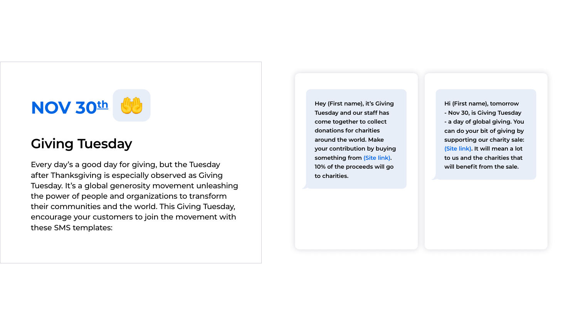

### **Giving Tuesday**

Every day's a good day for giving, but the Tuesday after Thanksgiving is especially observed as Giving Tuesday. It's a global generosity movement unleashing the power of people and organizations to transform their communities and the world. This Giving Tuesday, encourage your customers to join the movement with these SMS templates:

**Hi (First name), tomorrow - Nov 30, is Giving Tuesday - a day of global giving. You can do your bit of giving by supporting our charity sale: (Site link). It will mean a lot to us and the charities that will benefit from the sale.**



**Hey (First name), it's Giving Tuesday and our staff has come together to collect donations for charities around the world. Make your contribution by buying something from (Site link). 10% of the proceeds will go to charities.**